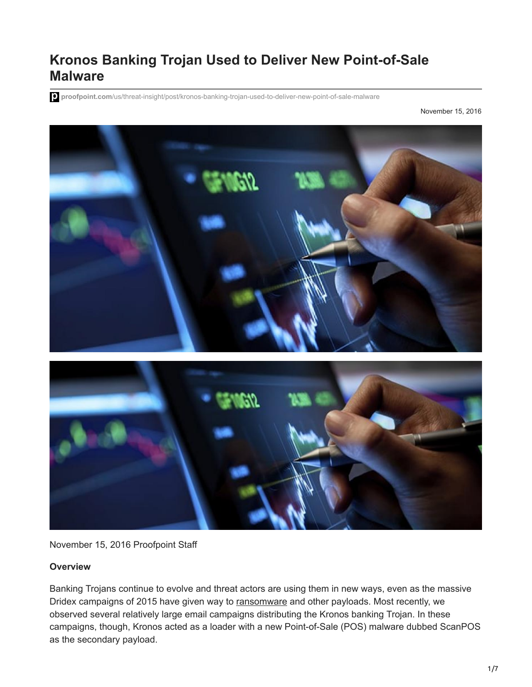# **Kronos Banking Trojan Used to Deliver New Point-of-Sale Malware**

**proofpoint.com**[/us/threat-insight/post/kronos-banking-trojan-used-to-deliver-new-point-of-sale-malware](https://www.proofpoint.com/us/threat-insight/post/kronos-banking-trojan-used-to-deliver-new-point-of-sale-malware)

November 15, 2016



November 15, 2016 Proofpoint Staff

#### **Overview**

Banking Trojans continue to evolve and threat actors are using them in new ways, even as the massive Dridex campaigns of 2015 have given way to [ransomware](https://www.proofpoint.com/us/threat-reference/ransomware) and other payloads. Most recently, we observed several relatively large email campaigns distributing the Kronos banking Trojan. In these campaigns, though, Kronos acted as a loader with a new Point-of-Sale (POS) malware dubbed ScanPOS as the secondary payload.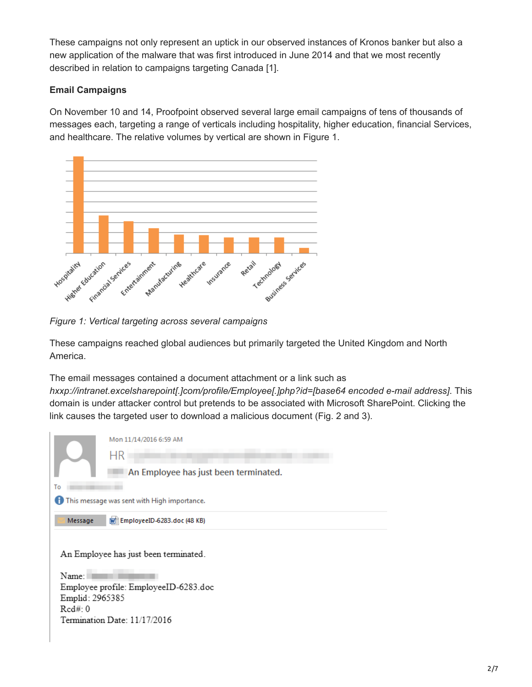These campaigns not only represent an uptick in our observed instances of Kronos banker but also a new application of the malware that was first introduced in June 2014 and that we most recently described in relation to campaigns targeting Canada [1].

### **Email Campaigns**

On November 10 and 14, Proofpoint observed several large email campaigns of tens of thousands of messages each, targeting a range of verticals including hospitality, higher education, financial Services, and healthcare. The relative volumes by vertical are shown in Figure 1.



*Figure 1: Vertical targeting across several campaigns*

These campaigns reached global audiences but primarily targeted the United Kingdom and North America.

The email messages contained a document attachment or a link such as *hxxp://intranet.excelsharepoint[.]com/profile/Employee[.]php?id=[base64 encoded e-mail address]*. This domain is under attacker control but pretends to be associated with Microsoft SharePoint. Clicking the link causes the targeted user to download a malicious document (Fig. 2 and 3).

|                                                                                                                                                     | Mon 11/14/2016 6:59 AM<br>НR          |  |  |  |
|-----------------------------------------------------------------------------------------------------------------------------------------------------|---------------------------------------|--|--|--|
|                                                                                                                                                     | An Employee has just been terminated. |  |  |  |
| To                                                                                                                                                  |                                       |  |  |  |
| This message was sent with High importance.                                                                                                         |                                       |  |  |  |
| Message                                                                                                                                             | [w] EmployeeID-6283.doc (48 KB)       |  |  |  |
| An Employee has just been terminated.<br>Name:<br>Employee profile: EmployeeID-6283.doc<br>Emplid: 2965385<br>Red#0<br>Termination Date: 11/17/2016 |                                       |  |  |  |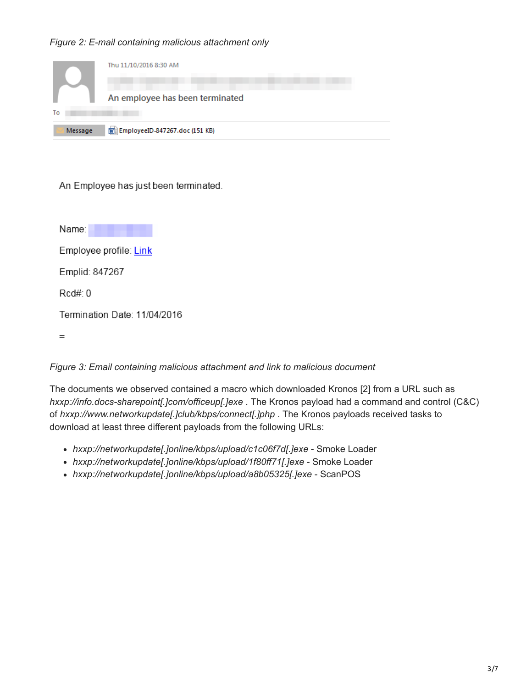## *Figure 2: E-mail containing malicious attachment only*

|         | Thu 11/10/2016 8:30 AM             |
|---------|------------------------------------|
|         | An employee has been terminated    |
| To      |                                    |
| Message | [w] EmployeeID-847267.doc (151 KB) |

An Employee has just been terminated.

Name: Name:

Employee profile: Link

Emplid: 847267

 $Rcd#: 0$ 

Termination Date: 11/04/2016

 $=$ 

## *Figure 3: Email containing malicious attachment and link to malicious document*

The documents we observed contained a macro which downloaded Kronos [2] from a URL such as *hxxp://info.docs-sharepoint[.]com/officeup[.]exe* . The Kronos payload had a command and control (C&C) of *hxxp://www.networkupdate[.]club/kbps/connect[.]php* . The Kronos payloads received tasks to download at least three different payloads from the following URLs:

- *hxxp://networkupdate[.]online/kbps/upload/c1c06f7d[.]exe* Smoke Loader
- *hxxp://networkupdate[.]online/kbps/upload/1f80ff71[.]exe* Smoke Loader
- *hxxp://networkupdate[.]online/kbps/upload/a8b05325[.]exe* ScanPOS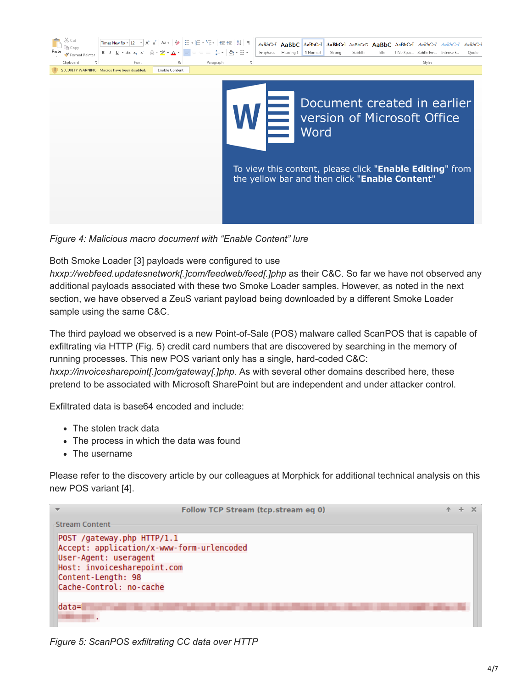| Times New Ro $\ast$ $\left 12 - \ast \right $ A <sup>*</sup> A <sup>*</sup> Aa $\ast$ $\left  \left\langle \bullet \right  \right  \equiv \ast \frac{1}{2} = \ast \frac{1}{2} \cdot \left  \leftarrow \right  \Leftarrow \equiv \left  \left\langle \bullet \right  \right  \parallel \P$<br>B <i>I</i> U → akc X <sub>2</sub> X <sup>2</sup>   A → <mark>ツ → A →   事</mark> 事 = ≡   詳 →   △ → ⊞ →<br>Paste<br>Format Painter<br>Clipboard<br>Font<br>Paragraph<br>ß.<br>反<br>SECURITY WARNING Macros have been disabled.<br><b>Enable Content</b> | AaBbCcl AaBbC AaBbCcl AaBbCcl AaBbCcD AaBbC AaBbCcl AaBbCcl AaBbCcl AaBbCcl<br>Heading 1<br>Emphasis<br>1 Normal<br>Strong<br>Subtitle<br>"I No Spac Subtle Em Intense E<br>Title<br>Ouote<br>Styles<br>履 |
|----------------------------------------------------------------------------------------------------------------------------------------------------------------------------------------------------------------------------------------------------------------------------------------------------------------------------------------------------------------------------------------------------------------------------------------------------------------------------------------------------------------------------------------------------|-----------------------------------------------------------------------------------------------------------------------------------------------------------------------------------------------------------|
|                                                                                                                                                                                                                                                                                                                                                                                                                                                                                                                                                    | Document created in earlier<br>version of Microsoft Office<br>Word                                                                                                                                        |
|                                                                                                                                                                                                                                                                                                                                                                                                                                                                                                                                                    | To view this content, please click "Enable Editing" from<br>the yellow bar and then click "Enable Content"                                                                                                |

*Figure 4: Malicious macro document with "Enable Content" lure*

Both Smoke Loader [3] payloads were configured to use

*hxxp://webfeed.updatesnetwork[.]com/feedweb/feed[.]php* as their C&C. So far we have not observed any additional payloads associated with these two Smoke Loader samples. However, as noted in the next section, we have observed a ZeuS variant payload being downloaded by a different Smoke Loader sample using the same C&C.

The third payload we observed is a new Point-of-Sale (POS) malware called ScanPOS that is capable of exfiltrating via HTTP (Fig. 5) credit card numbers that are discovered by searching in the memory of running processes. This new POS variant only has a single, hard-coded C&C: *hxxp://invoicesharepoint[.]com/gateway[.]php*. As with several other domains described here, these pretend to be associated with Microsoft SharePoint but are independent and under attacker control.

Exfiltrated data is base64 encoded and include:

- The stolen track data
- The process in which the data was found
- The username

Please refer to the discovery article by our colleagues at Morphick for additional technical analysis on this new POS variant [4].

|                                                                                                                                                                                  | Follow TCP Stream (tcp.stream eq 0) |  |  |
|----------------------------------------------------------------------------------------------------------------------------------------------------------------------------------|-------------------------------------|--|--|
| <b>Stream Content</b>                                                                                                                                                            |                                     |  |  |
| POST /gateway.php HTTP/1.1<br>Accept: application/x-www-form-urlencoded<br>User-Agent: useragent<br>Host: invoicesharepoint.com<br>Content-Length: 98<br>Cache-Control: no-cache |                                     |  |  |
| $data =$                                                                                                                                                                         |                                     |  |  |

*Figure 5: ScanPOS exfiltrating CC data over HTTP*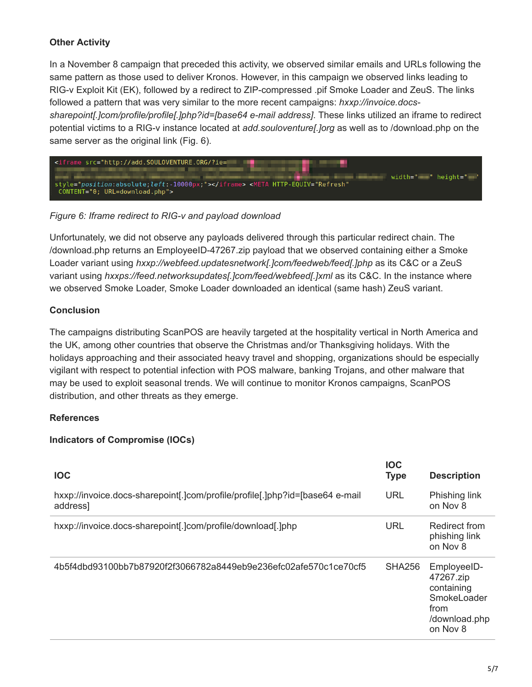## **Other Activity**

In a November 8 campaign that preceded this activity, we observed similar emails and URLs following the same pattern as those used to deliver Kronos. However, in this campaign we observed links leading to RIG-v Exploit Kit (EK), followed by a redirect to ZIP-compressed .pif Smoke Loader and ZeuS. The links followed a pattern that was very similar to the more recent campaigns: *hxxp://invoice.docssharepoint[.]com/profile/profile[.]php?id=[base64 e-mail address]*. These links utilized an iframe to redirect potential victims to a RIG-v instance located at *add.souloventure[.]org* as well as to /download.php on the same server as the original link (Fig. 6).



*Figure 6: Iframe redirect to RIG-v and payload download*

Unfortunately, we did not observe any payloads delivered through this particular redirect chain. The /download.php returns an EmployeeID-47267.zip payload that we observed containing either a Smoke Loader variant using *hxxp://webfeed.updatesnetwork[.]com/feedweb/feed[.]php* as its C&C or a ZeuS variant using *hxxps://feed.networksupdates[.]com/feed/webfeed[.]xml* as its C&C. In the instance where we observed Smoke Loader, Smoke Loader downloaded an identical (same hash) ZeuS variant.

## **Conclusion**

The campaigns distributing ScanPOS are heavily targeted at the hospitality vertical in North America and the UK, among other countries that observe the Christmas and/or Thanksgiving holidays. With the holidays approaching and their associated heavy travel and shopping, organizations should be especially vigilant with respect to potential infection with POS malware, banking Trojans, and other malware that may be used to exploit seasonal trends. We will continue to monitor Kronos campaigns, ScanPOS distribution, and other threats as they emerge.

## **References**

## **Indicators of Compromise (IOCs)**

| <b>IOC</b>                                                                               | <b>IOC</b><br><b>Type</b> | <b>Description</b>                                                                         |
|------------------------------------------------------------------------------------------|---------------------------|--------------------------------------------------------------------------------------------|
| hxxp://invoice.docs-sharepoint[.]com/profile/profile[.]php?id=[base64 e-mail<br>address] | <b>URL</b>                | Phishing link<br>on Nov 8                                                                  |
| hxxp://invoice.docs-sharepoint[.]com/profile/download[.]php                              | URL                       | Redirect from<br>phishing link<br>on Nov 8                                                 |
| 4b5f4dbd93100bb7b87920f2f3066782a8449eb9e236efc02afe570c1ce70cf5                         | <b>SHA256</b>             | EmployeeID-<br>47267.zip<br>containing<br>SmokeLoader<br>from<br>/download.php<br>on Nov 8 |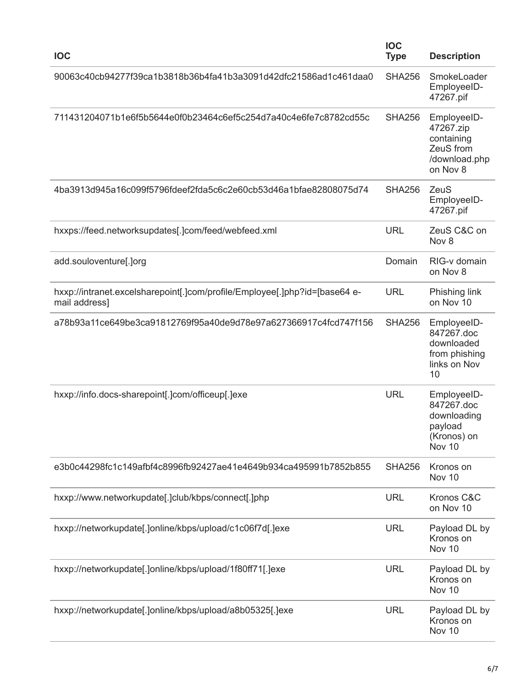| <b>IOC</b>                                                                                  | <b>IOC</b><br><b>Type</b> | <b>Description</b>                                                                  |
|---------------------------------------------------------------------------------------------|---------------------------|-------------------------------------------------------------------------------------|
| 90063c40cb94277f39ca1b3818b36b4fa41b3a3091d42dfc21586ad1c461daa0                            | <b>SHA256</b>             | SmokeLoader<br>EmployeeID-<br>47267.pif                                             |
| 711431204071b1e6f5b5644e0f0b23464c6ef5c254d7a40c4e6fe7c8782cd55c                            | <b>SHA256</b>             | EmployeeID-<br>47267.zip<br>containing<br>ZeuS from<br>/download.php<br>on Nov 8    |
| 4ba3913d945a16c099f5796fdeef2fda5c6c2e60cb53d46a1bfae82808075d74                            | <b>SHA256</b>             | ZeuS<br>EmployeeID-<br>47267.pif                                                    |
| hxxps://feed.networksupdates[.]com/feed/webfeed.xml                                         | <b>URL</b>                | ZeuS C&C on<br>Nov 8                                                                |
| add.souloventure[.]org                                                                      | Domain                    | RIG-v domain<br>on Nov 8                                                            |
| hxxp://intranet.excelsharepoint[.]com/profile/Employee[.]php?id=[base64 e-<br>mail address] | <b>URL</b>                | Phishing link<br>on Nov 10                                                          |
| a78b93a11ce649be3ca91812769f95a40de9d78e97a627366917c4fcd747f156                            | <b>SHA256</b>             | EmployeeID-<br>847267.doc<br>downloaded<br>from phishing<br>links on Nov<br>10      |
| hxxp://info.docs-sharepoint[.]com/officeup[.]exe                                            | <b>URL</b>                | EmployeeID-<br>847267.doc<br>downloading<br>payload<br>(Kronos) on<br><b>Nov 10</b> |
| e3b0c44298fc1c149afbf4c8996fb92427ae41e4649b934ca495991b7852b855                            | <b>SHA256</b>             | Kronos on<br>Nov 10                                                                 |
| hxxp://www.networkupdate[.]club/kbps/connect[.]php                                          | <b>URL</b>                | Kronos C&C<br>on Nov 10                                                             |
| hxxp://networkupdate[.]online/kbps/upload/c1c06f7d[.]exe                                    | <b>URL</b>                | Payload DL by<br>Kronos on<br>Nov 10                                                |
| hxxp://networkupdate[.]online/kbps/upload/1f80ff71[.]exe                                    | <b>URL</b>                | Payload DL by<br>Kronos on<br>Nov 10                                                |
| hxxp://networkupdate[.]online/kbps/upload/a8b05325[.]exe                                    | <b>URL</b>                | Payload DL by<br>Kronos on<br>Nov 10                                                |